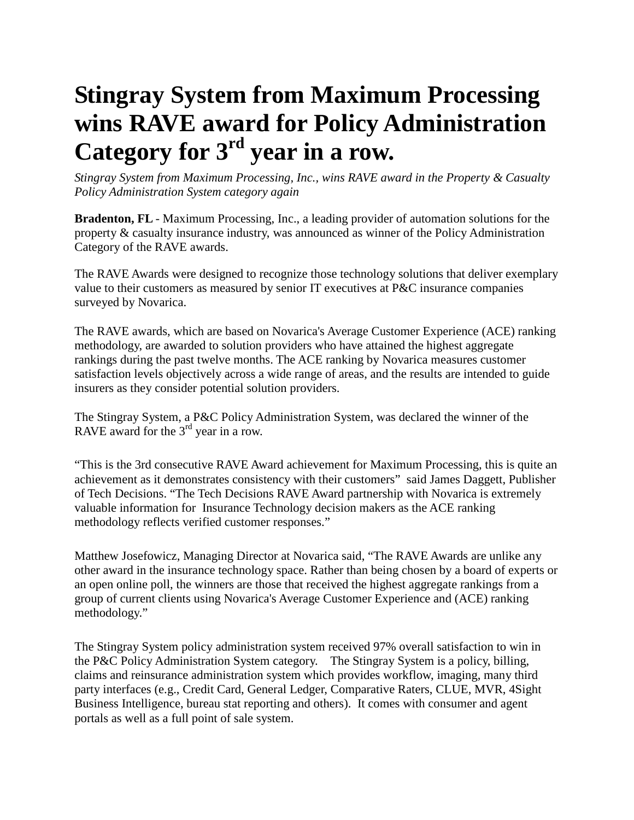## **Stingray System from Maximum Processing wins RAVE award for Policy Administration Category for 3rd year in a row.**

*Stingray System from Maximum Processing, Inc., wins RAVE award in the Property & Casualty Policy Administration System category again*

**Bradenton, FL** - Maximum Processing, Inc., a leading provider of automation solutions for the property & casualty insurance industry, was announced as winner of the Policy Administration Category of the RAVE awards.

The RAVE Awards were designed to recognize those technology solutions that deliver exemplary value to their customers as measured by senior IT executives at P&C insurance companies surveyed by Novarica.

The RAVE awards, which are based on Novarica's Average Customer Experience (ACE) ranking methodology, are awarded to solution providers who have attained the highest aggregate rankings during the past twelve months. The ACE ranking by Novarica measures customer satisfaction levels objectively across a wide range of areas, and the results are intended to guide insurers as they consider potential solution providers.

The Stingray System, a P&C Policy Administration System, was declared the winner of the RAVE award for the  $3<sup>rd</sup>$  year in a row.

"This is the 3rd consecutive RAVE Award achievement for Maximum Processing, this is quite an achievement as it demonstrates consistency with their customers" said James Daggett, Publisher of Tech Decisions. "The Tech Decisions RAVE Award partnership with Novarica is extremely valuable information for Insurance Technology decision makers as the ACE ranking methodology reflects verified customer responses."

Matthew Josefowicz, Managing Director at Novarica said, "The RAVE Awards are unlike any other award in the insurance technology space. Rather than being chosen by a board of experts or an open online poll, the winners are those that received the highest aggregate rankings from a group of current clients using Novarica's Average Customer Experience and (ACE) ranking methodology."

The Stingray System policy administration system received 97% overall satisfaction to win in the P&C Policy Administration System category. The Stingray System is a policy, billing, claims and reinsurance administration system which provides workflow, imaging, many third party interfaces (e.g., Credit Card, General Ledger, Comparative Raters, CLUE, MVR, 4Sight Business Intelligence, bureau stat reporting and others). It comes with consumer and agent portals as well as a full point of sale system.